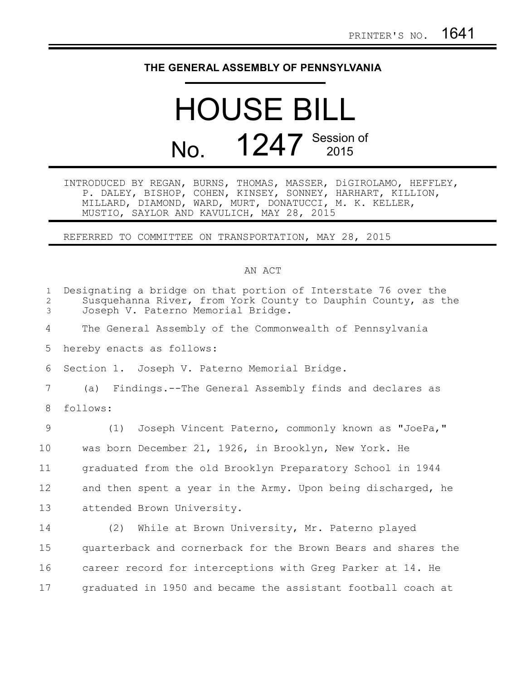## **THE GENERAL ASSEMBLY OF PENNSYLVANIA**

## HOUSE BILL No. **1247** Session of

INTRODUCED BY REGAN, BURNS, THOMAS, MASSER, DiGIROLAMO, HEFFLEY, P. DALEY, BISHOP, COHEN, KINSEY, SONNEY, HARHART, KILLION, MILLARD, DIAMOND, WARD, MURT, DONATUCCI, M. K. KELLER, MUSTIO, SAYLOR AND KAVULICH, MAY 28, 2015

REFERRED TO COMMITTEE ON TRANSPORTATION, MAY 28, 2015

## AN ACT

| $\mathbf{1}$<br>2<br>3 | Designating a bridge on that portion of Interstate 76 over the<br>Susquehanna River, from York County to Dauphin County, as the<br>Joseph V. Paterno Memorial Bridge. |
|------------------------|-----------------------------------------------------------------------------------------------------------------------------------------------------------------------|
| 4                      | The General Assembly of the Commonwealth of Pennsylvania                                                                                                              |
| 5                      | hereby enacts as follows:                                                                                                                                             |
| 6                      | Section 1. Joseph V. Paterno Memorial Bridge.                                                                                                                         |
| 7                      | Findings.--The General Assembly finds and declares as<br>(a)                                                                                                          |
| 8                      | follows:                                                                                                                                                              |
| 9                      | (1) Joseph Vincent Paterno, commonly known as "JoePa,"                                                                                                                |
| 10                     | was born December 21, 1926, in Brooklyn, New York. He                                                                                                                 |
| 11                     | graduated from the old Brooklyn Preparatory School in 1944                                                                                                            |
| 12                     | and then spent a year in the Army. Upon being discharged, he                                                                                                          |
| 13                     | attended Brown University.                                                                                                                                            |
| 14                     | (2) While at Brown University, Mr. Paterno played                                                                                                                     |
| 15                     | quarterback and cornerback for the Brown Bears and shares the                                                                                                         |
| 16                     | career record for interceptions with Greg Parker at 14. He                                                                                                            |
| 17                     | graduated in 1950 and became the assistant football coach at                                                                                                          |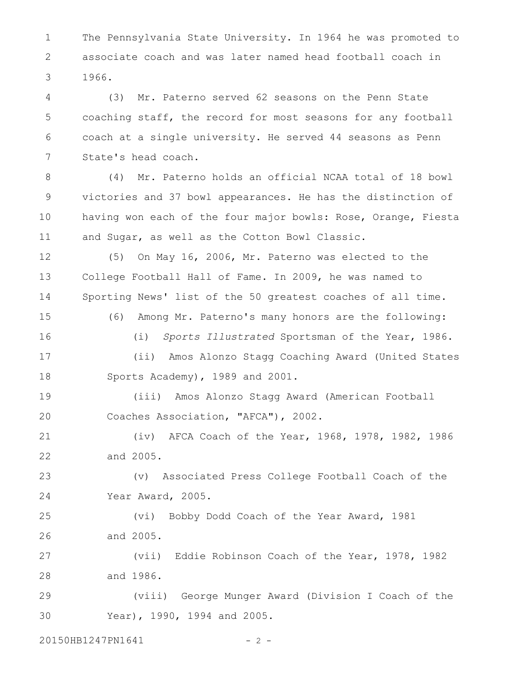The Pennsylvania State University. In 1964 he was promoted to associate coach and was later named head football coach in 1966. 1 2 3

(3) Mr. Paterno served 62 seasons on the Penn State coaching staff, the record for most seasons for any football coach at a single university. He served 44 seasons as Penn State's head coach. 4 5 6 7

(4) Mr. Paterno holds an official NCAA total of 18 bowl victories and 37 bowl appearances. He has the distinction of having won each of the four major bowls: Rose, Orange, Fiesta and Sugar, as well as the Cotton Bowl Classic. 8 9 10 11

(5) On May 16, 2006, Mr. Paterno was elected to the College Football Hall of Fame. In 2009, he was named to Sporting News' list of the 50 greatest coaches of all time. 12 13 14

15

(6) Among Mr. Paterno's many honors are the following:

16

(i) *Sports Illustrated* Sportsman of the Year, 1986.

(ii) Amos Alonzo Stagg Coaching Award (United States Sports Academy), 1989 and 2001. 17 18

(iii) Amos Alonzo Stagg Award (American Football Coaches Association, "AFCA"), 2002. 19 20

(iv) AFCA Coach of the Year, 1968, 1978, 1982, 1986 and 2005. 21 22

(v) Associated Press College Football Coach of the Year Award, 2005. 23 24

(vi) Bobby Dodd Coach of the Year Award, 1981 and 2005. 25 26

(vii) Eddie Robinson Coach of the Year, 1978, 1982 and 1986. 27 28

(viii) George Munger Award (Division I Coach of the Year), 1990, 1994 and 2005. 29 30

20150HB1247PN1641 - 2 -